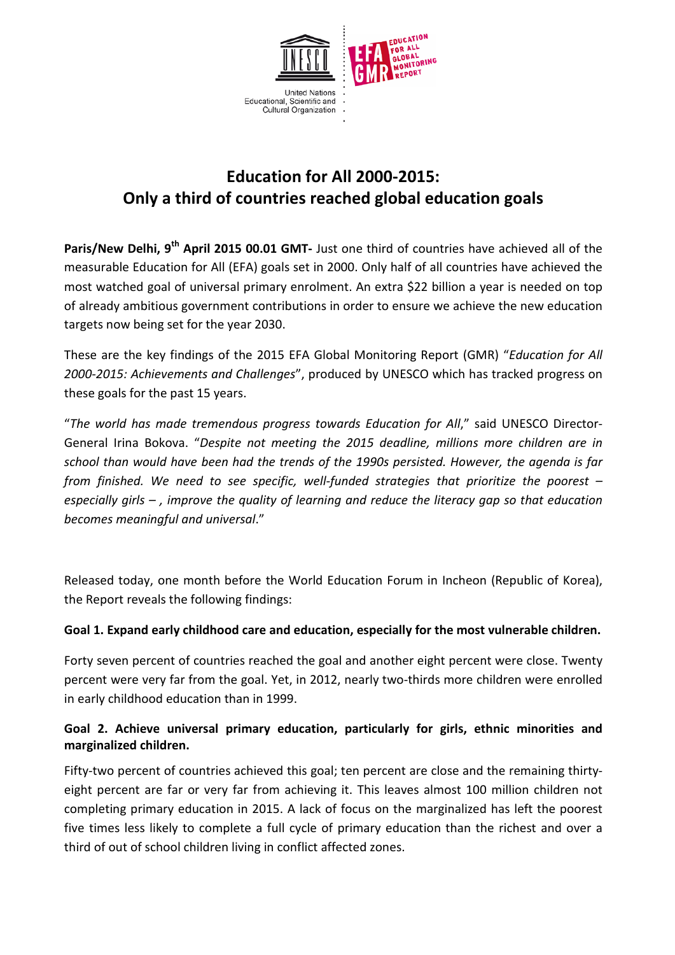

# **Education for All 2000-2015: Only a third of countries reached global education goals**

**Paris/New Delhi, 9th April 2015 00.01 GMT-** Just one third of countries have achieved all of the measurable Education for All (EFA) goals set in 2000. Only half of all countries have achieved the most watched goal of universal primary enrolment. An extra \$22 billion a year is needed on top of already ambitious government contributions in order to ensure we achieve the new education targets now being set for the year 2030.

These are the key findings of the 2015 EFA Global Monitoring Report (GMR) "*Education for All 2000-2015: Achievements and Challenges*", produced by UNESCO which has tracked progress on these goals for the past 15 years.

"*The world has made tremendous progress towards Education for All*," said UNESCO Director-General Irina Bokova. "*Despite not meeting the 2015 deadline, millions more children are in school than would have been had the trends of the 1990s persisted. However, the agenda is far from finished. We need to see specific, well-funded strategies that prioritize the poorest – especially girls – , improve the quality of learning and reduce the literacy gap so that education becomes meaningful and universal*."

Released today, one month before the World Education Forum in Incheon (Republic of Korea), the Report reveals the following findings:

#### **Goal 1. Expand early childhood care and education, especially for the most vulnerable children.**

Forty seven percent of countries reached the goal and another eight percent were close. Twenty percent were very far from the goal. Yet, in 2012, nearly two-thirds more children were enrolled in early childhood education than in 1999.

## **Goal 2. Achieve universal primary education, particularly for girls, ethnic minorities and marginalized children.**

Fifty-two percent of countries achieved this goal; ten percent are close and the remaining thirtyeight percent are far or very far from achieving it. This leaves almost 100 million children not completing primary education in 2015. A lack of focus on the marginalized has left the poorest five times less likely to complete a full cycle of primary education than the richest and over a third of out of school children living in conflict affected zones.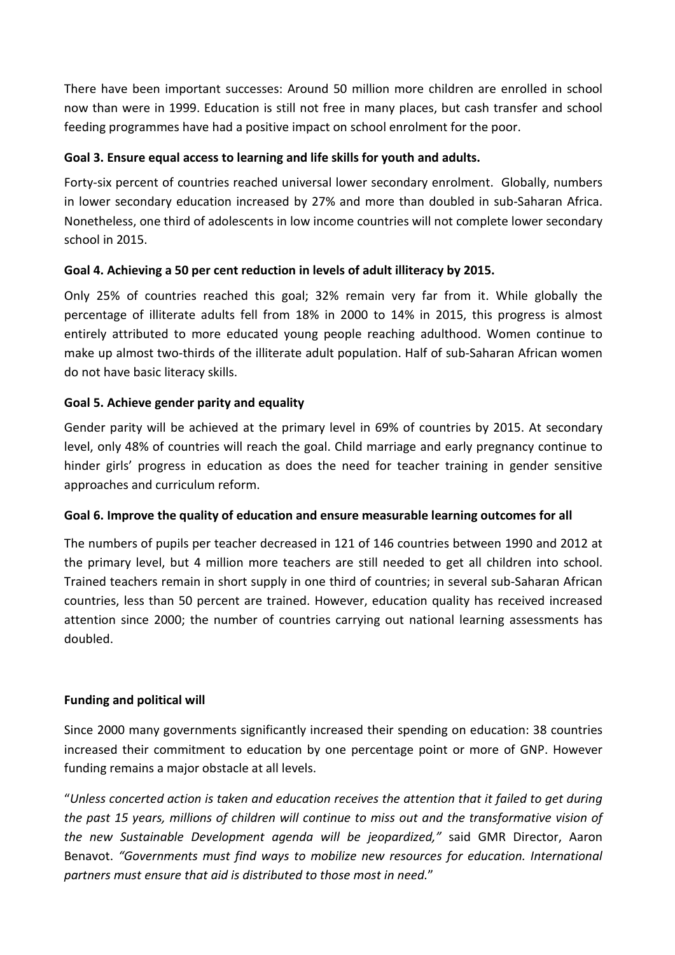There have been important successes: Around 50 million more children are enrolled in school now than were in 1999. Education is still not free in many places, but cash transfer and school feeding programmes have had a positive impact on school enrolment for the poor.

## **Goal 3. Ensure equal access to learning and life skills for youth and adults.**

Forty-six percent of countries reached universal lower secondary enrolment. Globally, numbers in lower secondary education increased by 27% and more than doubled in sub-Saharan Africa. Nonetheless, one third of adolescents in low income countries will not complete lower secondary school in 2015.

## **Goal 4. Achieving a 50 per cent reduction in levels of adult illiteracy by 2015.**

Only 25% of countries reached this goal; 32% remain very far from it. While globally the percentage of illiterate adults fell from 18% in 2000 to 14% in 2015, this progress is almost entirely attributed to more educated young people reaching adulthood. Women continue to make up almost two-thirds of the illiterate adult population. Half of sub-Saharan African women do not have basic literacy skills.

## **Goal 5. Achieve gender parity and equality**

Gender parity will be achieved at the primary level in 69% of countries by 2015. At secondary level, only 48% of countries will reach the goal. Child marriage and early pregnancy continue to hinder girls' progress in education as does the need for teacher training in gender sensitive approaches and curriculum reform.

#### **Goal 6. Improve the quality of education and ensure measurable learning outcomes for all**

The numbers of pupils per teacher decreased in 121 of 146 countries between 1990 and 2012 at the primary level, but 4 million more teachers are still needed to get all children into school. Trained teachers remain in short supply in one third of countries; in several sub-Saharan African countries, less than 50 percent are trained. However, education quality has received increased attention since 2000; the number of countries carrying out national learning assessments has doubled.

#### **Funding and political will**

Since 2000 many governments significantly increased their spending on education: 38 countries increased their commitment to education by one percentage point or more of GNP. However funding remains a major obstacle at all levels.

"*Unless concerted action is taken and education receives the attention that it failed to get during the past 15 years, millions of children will continue to miss out and the transformative vision of the new Sustainable Development agenda will be jeopardized,"* said GMR Director, Aaron Benavot. *"Governments must find ways to mobilize new resources for education. International partners must ensure that aid is distributed to those most in need.*"